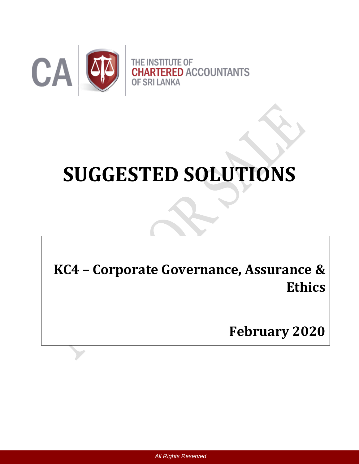

# **SUGGESTED SOLUTIONS**

**KC4 – Corporate Governance, Assurance & Ethics**

**February 2020**

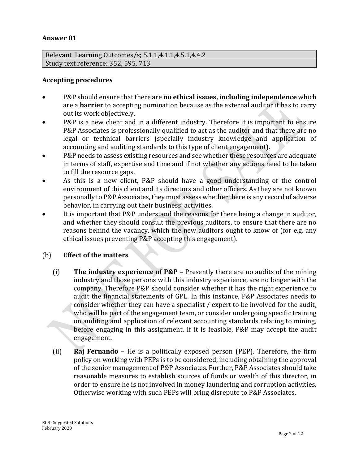# **Answer 01**

Relevant Learning Outcomes/s; 5.1.1,4.1.1,4.5.1,4.4.2 Study text reference: 352, 595, 713

## **Accepting procedures**

- P&P should ensure that there are **no ethical issues, including independence** which are a **barrier** to accepting nomination because as the external auditor it has to carry out its work objectively.
- P&P is a new client and in a different industry. Therefore it is important to ensure P&P Associates is professionally qualified to act as the auditor and that there are no legal or technical barriers (specially industry knowledge and application of accounting and auditing standards to this type of client engagement).
- P&P needs to assess existing resources and see whether these resources are adequate in terms of staff, expertise and time and if not whether any actions need to be taken to fill the resource gaps.
- As this is a new client, P&P should have a good understanding of the control environment of this client and its directors and other officers. As they are not known personally to P&P Associates, they must assess whether there is any record of adverse behavior, in carrying out their business' activities.
- It is important that P&P understand the reasons for there being a change in auditor, and whether they should consult the previous auditors, to ensure that there are no reasons behind the vacancy, which the new auditors ought to know of (for e.g. any ethical issues preventing P&P accepting this engagement).

## (b) **Effect of the matters**

- (i) **The industry experience of P&P –** Presently there are no audits of the mining industry and those persons with this industry experience, are no longer with the company. Therefore P&P should consider whether it has the right experience to audit the financial statements of GPL. In this instance, P&P Associates needs to consider whether they can have a specialist / expert to be involved for the audit, who will be part of the engagement team, or consider undergoing specific training on auditing and application of relevant accounting standards relating to mining, before engaging in this assignment. If it is feasible, P&P may accept the audit engagement.
- (ii) **Raj Fernando**  He is a politically exposed person (PEP). Therefore, the firm policy on working with PEPs is to be considered, including obtaining the approval of the senior management of P&P Associates. Further, P&P Associates should take reasonable measures to establish sources of funds or wealth of this director, in order to ensure he is not involved in money laundering and corruption activities. Otherwise working with such PEPs will bring disrepute to P&P Associates.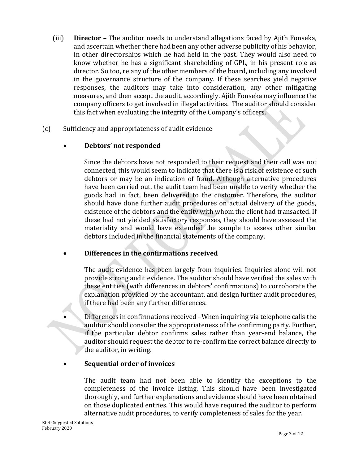- (iii) **Director –** The auditor needs to understand allegations faced by Ajith Fonseka, and ascertain whether there had been any other adverse publicity of his behavior, in other directorships which he had held in the past. They would also need to know whether he has a significant shareholding of GPL, in his present role as director. So too, re any of the other members of the board, including any involved in the governance structure of the company. If these searches yield negative responses, the auditors may take into consideration, any other mitigating measures, and then accept the audit, accordingly. Ajith Fonseka may influence the company officers to get involved in illegal activities. The auditor should consider this fact when evaluating the integrity of the Company's officers.
- (c) Sufficiency and appropriateness of audit evidence

# **Debtors' not responded**

Since the debtors have not responded to their request and their call was not connected, this would seem to indicate that there is a risk of existence of such debtors or may be an indication of fraud. Although alternative procedures have been carried out, the audit team had been unable to verify whether the goods had in fact, been delivered to the customer. Therefore, the auditor should have done further audit procedures on actual delivery of the goods, existence of the debtors and the entity with whom the client had transacted. If these had not yielded satisfactory responses, they should have assessed the materiality and would have extended the sample to assess other similar debtors included in the financial statements of the company.

# **Differences in the confirmations received**

The audit evidence has been largely from inquiries. Inquiries alone will not provide strong audit evidence. The auditor should have verified the sales with these entities (with differences in debtors' confirmations) to corroborate the explanation provided by the accountant, and design further audit procedures, if there had been any further differences.

 Differences in confirmations received –When inquiring via telephone calls the auditor should consider the appropriateness of the confirming party. Further, if the particular debtor confirms sales rather than year-end balance, the auditor should request the debtor to re-confirm the correct balance directly to the auditor, in writing.

# **Sequential order of invoices**

The audit team had not been able to identify the exceptions to the completeness of the invoice listing. This should have been investigated thoroughly, and further explanations and evidence should have been obtained on those duplicated entries. This would have required the auditor to perform alternative audit procedures, to verify completeness of sales for the year.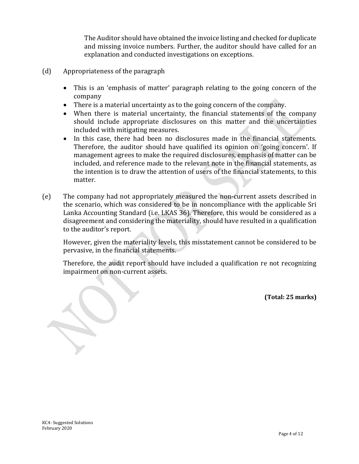The Auditor should have obtained the invoice listing and checked for duplicate and missing invoice numbers. Further, the auditor should have called for an explanation and conducted investigations on exceptions.

- (d) Appropriateness of the paragraph
	- This is an 'emphasis of matter' paragraph relating to the going concern of the company
	- There is a material uncertainty as to the going concern of the company.
	- When there is material uncertainty, the financial statements of the company should include appropriate disclosures on this matter and the uncertainties included with mitigating measures.
	- In this case, there had been no disclosures made in the financial statements. Therefore, the auditor should have qualified its opinion on 'going concern'. If management agrees to make the required disclosures, emphasis of matter can be included, and reference made to the relevant note in the financial statements, as the intention is to draw the attention of users of the financial statements, to this matter.
- (e) The company had not appropriately measured the non-current assets described in the scenario, which was considered to be in noncompliance with the applicable Sri Lanka Accounting Standard (i.e. LKAS 36). Therefore, this would be considered as a disagreement and considering the materiality, should have resulted in a qualification to the auditor's report.

However, given the materiality levels, this misstatement cannot be considered to be pervasive, in the financial statements.

Therefore, the audit report should have included a qualification re not recognizing impairment on non-current assets.

**(Total: 25 marks)**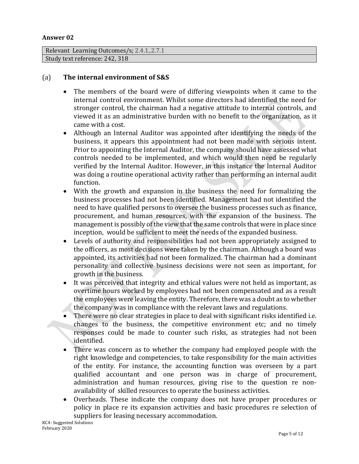#### **Answer 02**

```
Relevant Learning Outcomes/s; 2.4.1,.2.7.1
Study text reference: 242, 318
```
# (a) **The internal environment of S&S**

- The members of the board were of differing viewpoints when it came to the internal control environment. Whilst some directors had identified the need for stronger control, the chairman had a negative attitude to internal controls, and viewed it as an administrative burden with no benefit to the organization, as it came with a cost.
- Although an Internal Auditor was appointed after identifying the needs of the business, it appears this appointment had not been made with serious intent. Prior to appointing the Internal Auditor, the company should have assessed what controls needed to be implemented, and which would then need be regularly verified by the Internal Auditor. However, in this instance the Internal Auditor was doing a routine operational activity rather than performing an internal audit function.
- With the growth and expansion in the business the need for formalizing the business processes had not been identified. Management had not identified the need to have qualified persons to oversee the business processes such as finance, procurement, and human resources, with the expansion of the business. The management is possibly of the view that the same controls that were in place since inception, would be sufficient to meet the needs of the expanded business.
- Levels of authority and responsibilities had not been appropriately assigned to the officers, as most decisions were taken by the chairman. Although a board was appointed, its activities had not been formalized. The chairman had a dominant personality and collective business decisions were not seen as important, for growth in the business.
- It was perceived that integrity and ethical values were not held as important, as overtime hours worked by employees had not been compensated and as a result the employees were leaving the entity. Therefore, there was a doubt as to whether the company was in compliance with the relevant laws and regulations.
- There were no clear strategies in place to deal with significant risks identified i.e. changes to the business, the competitive environment etc; and no timely responses could be made to counter such risks, as strategies had not been identified.
- There was concern as to whether the company had employed people with the right knowledge and competencies, to take responsibility for the main activities of the entity. For instance, the accounting function was overseen by a part qualified accountant and one person was in charge of procurement, administration and human resources, giving rise to the question re nonavailability of skilled resources to operate the business activities.
- Overheads. These indicate the company does not have proper procedures or policy in place re its expansion activities and basic procedures re selection of suppliers for leasing necessary accommodation.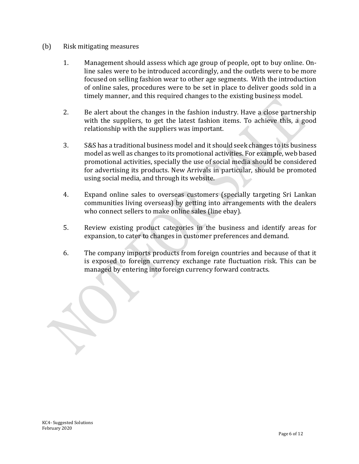## (b) Risk mitigating measures

- 1. Management should assess which age group of people, opt to buy online. Online sales were to be introduced accordingly, and the outlets were to be more focused on selling fashion wear to other age segments. With the introduction of online sales, procedures were to be set in place to deliver goods sold in a timely manner, and this required changes to the existing business model.
- 2. Be alert about the changes in the fashion industry. Have a close partnership with the suppliers, to get the latest fashion items. To achieve this, a good relationship with the suppliers was important.
- 3. S&S has a traditional business model and it should seek changes to its business model as well as changes to its promotional activities. For example, web based promotional activities, specially the use of social media should be considered for advertising its products. New Arrivals in particular, should be promoted using social media, and through its website.
- 4. Expand online sales to overseas customers (specially targeting Sri Lankan communities living overseas) by getting into arrangements with the dealers who connect sellers to make online sales (line ebay).
- 5. Review existing product categories in the business and identify areas for expansion, to cater to changes in customer preferences and demand.
- 6. The company imports products from foreign countries and because of that it is exposed to foreign currency exchange rate fluctuation risk. This can be managed by entering into foreign currency forward contracts.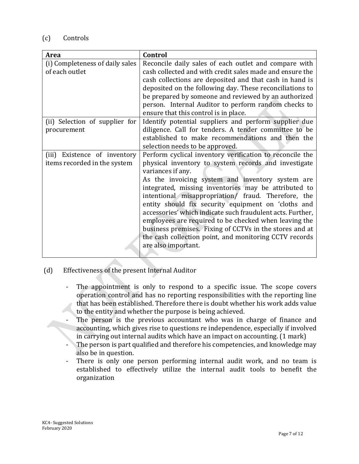# (c) Controls

| Area                            | Control                                                    |
|---------------------------------|------------------------------------------------------------|
| (i) Completeness of daily sales | Reconcile daily sales of each outlet and compare with      |
| of each outlet                  | cash collected and with credit sales made and ensure the   |
|                                 | cash collections are deposited and that cash in hand is    |
|                                 | deposited on the following day. These reconciliations to   |
|                                 | be prepared by someone and reviewed by an authorized       |
|                                 | person. Internal Auditor to perform random checks to       |
|                                 | ensure that this control is in place.                      |
| (ii) Selection of supplier for  | Identify potential suppliers and perform supplier due      |
| procurement                     | diligence. Call for tenders. A tender committee to be      |
|                                 | established to make recommendations and then the           |
|                                 | selection needs to be approved.                            |
| (iii)<br>Existence of inventory | Perform cyclical inventory verification to reconcile the   |
| items recorded in the system    | physical inventory to system records and investigate       |
|                                 | variances if any.                                          |
|                                 | As the invoicing system and inventory system are           |
|                                 | integrated, missing inventories may be attributed to       |
|                                 | intentional misappropriation/ fraud. Therefore, the        |
|                                 | entity should fix security equipment on 'cloths and        |
|                                 | accessories' which indicate such fraudulent acts. Further, |
|                                 | employees are required to be checked when leaving the      |
|                                 | business premises. Fixing of CCTVs in the stores and at    |
|                                 | the cash collection point, and monitoring CCTV records     |
|                                 | are also important.                                        |
|                                 |                                                            |

- (d) Effectiveness of the present Internal Auditor
	- The appointment is only to respond to a specific issue. The scope covers operation control and has no reporting responsibilities with the reporting line that has been established. Therefore there is doubt whether his work adds value to the entity and whether the purpose is being achieved.
	- The person is the previous accountant who was in charge of finance and accounting, which gives rise to questions re independence, especially if involved in carrying out internal audits which have an impact on accounting. (1 mark)
	- The person is part qualified and therefore his competencies, and knowledge may also be in question.
	- There is only one person performing internal audit work, and no team is established to effectively utilize the internal audit tools to benefit the organization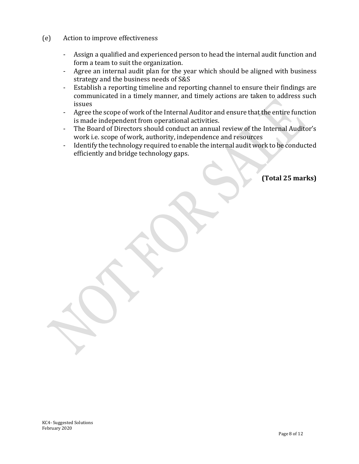- (e) Action to improve effectiveness
	- Assign a qualified and experienced person to head the internal audit function and form a team to suit the organization.
	- Agree an internal audit plan for the year which should be aligned with business strategy and the business needs of S&S
	- Establish a reporting timeline and reporting channel to ensure their findings are communicated in a timely manner, and timely actions are taken to address such issues
	- Agree the scope of work of the Internal Auditor and ensure that the entire function is made independent from operational activities.
	- The Board of Directors should conduct an annual review of the Internal Auditor's work i.e. scope of work, authority, independence and resources
	- Identify the technology required to enable the internal audit work to be conducted efficiently and bridge technology gaps.

**(Total 25 marks)**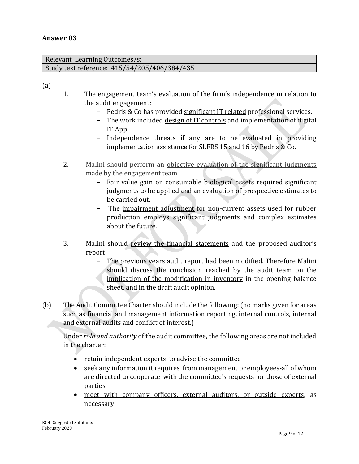Relevant Learning Outcomes/s; Study text reference: 415/54/205/406/384/435

(a)

- 1. The engagement team's evaluation of the firm's independence in relation to the audit engagement:
	- Pedris & Co has provided significant IT related professional services.
	- The work included design of IT controls and implementation of digital IT App.
	- Independence threats if any are to be evaluated in providing implementation assistance for SLFRS 15 and 16 by Pedris & Co.
- 2. Malini should perform an objective evaluation of the significant judgments made by the engagement team
	- Fair value gain on consumable biological assets required significant judgments to be applied and an evaluation of prospective estimates to be carried out.
	- The impairment adjustment for non-current assets used for rubber production employs significant judgments and complex estimates about the future.
- 3. Malini should review the financial statements and the proposed auditor's report
	- The previous years audit report had been modified. Therefore Malini should discuss the conclusion reached by the audit team on the implication of the modification in inventory in the opening balance sheet, and in the draft audit opinion.
- (b) The Audit Committee Charter should include the following: (no marks given for areas such as financial and management information reporting, internal controls, internal and external audits and conflict of interest.)

Under *role and authority* of the audit committee, the following areas are not included in the charter:

- retain independent experts to advise the committee
- seek any information it requires from management or employees-all of whom are directed to cooperate with the committee's requests- or those of external parties.
- meet with company officers, external auditors, or outside experts, as necessary.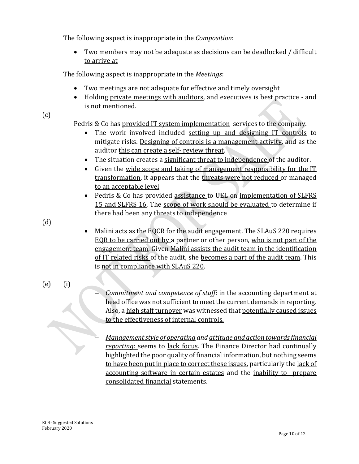The following aspect is inappropriate in the *Composition*:

• Two members may not be adequate as decisions can be deadlocked / difficult to arrive at

The following aspect is inappropriate in the *Meetings*:

- Two meetings are not adequate for effective and timely oversight
- Holding private meetings with auditors, and executives is best practice and is not mentioned.
- (c)

Pedris & Co has provided IT system implementation services to the company.

- The work involved included setting up and designing IT controls to mitigate risks. Designing of controls is a management activity, and as the auditor this can create a self- review threat.
- The situation creates a significant threat to independence of the auditor.
- Given the wide scope and taking of management responsibility for the IT transformation, it appears that the threats were not reduced or managed to an acceptable level
- Pedris & Co has provided assistance to UEL on implementation of SLFRS 15 and SLFRS 16. The scope of work should be evaluated to determine if there had been any threats to independence

(d)

- Malini acts as the EQCR for the audit engagement. The SLAuS 220 requires EQR to be carried out by a partner or other person, who is not part of the engagement team. Given Malini assists the audit team in the identification of IT related risks of the audit, she becomes a part of the audit team. This is not in compliance with SLAuS 220.
- (e) (i)
- *Commitment and competence of staff*: in the accounting department at head office was not sufficient to meet the current demands in reporting. Also, a high staff turnover was witnessed that potentially caused issues to the effectiveness of internal controls.

 *Management style of operating and attitude and action towards financial reporting*: seems to lack focus. The Finance Director had continually highlighted the poor quality of financial information, but nothing seems to have been put in place to correct these issues, particularly the lack of accounting software in certain estates and the inability to prepare consolidated financial statements.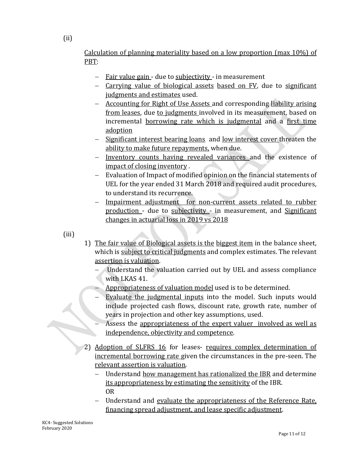Calculation of planning materiality based on a low proportion (max 10%) of PBT:

- Fair value gain due to subjectivity in measurement
- Carrying value of biological assets based on FV, due to significant judgments and estimates used.
- Accounting for Right of Use Assets and corresponding liability arising from leases, due to judgments involved in its measurement, based on incremental borrowing rate which is judgmental and a first time adoption
- Significant interest bearing loans and low interest cover threaten the ability to make future repayments, when due.
- Inventory counts having revealed variances and the existence of impact of closing inventory .
- Evaluation of Impact of modified opinion on the financial statements of UEL for the year ended 31 March 2018 and required audit procedures, to understand its recurrence.
- Impairment adjustment for non-current assets related to rubber production - due to subjectivity - in measurement, and Significant changes in actuarial loss in 2019 vs 2018

(iii)

- 1) The fair value of Biological assets is the biggest item in the balance sheet, which is subject to critical judgments and complex estimates. The relevant assertion is valuation.
	- Understand the valuation carried out by UEL and assess compliance with LKAS 41.
	- Appropriateness of valuation model used is to be determined.
	- Evaluate the judgmental inputs into the model. Such inputs would include projected cash flows, discount rate, growth rate, number of years in projection and other key assumptions, used.
		- Assess the appropriateness of the expert valuer involved as well as independence, objectivity and competence.
- 2) Adoption of SLFRS 16 for leases- requires complex determination of incremental borrowing rate given the circumstances in the pre-seen. The relevant assertion is valuation.
	- Understand how management has rationalized the IBR and determine its appropriateness by estimating the sensitivity of the IBR. OR
	- Understand and evaluate the appropriateness of the Reference Rate, financing spread adjustment, and lease specific adjustment.